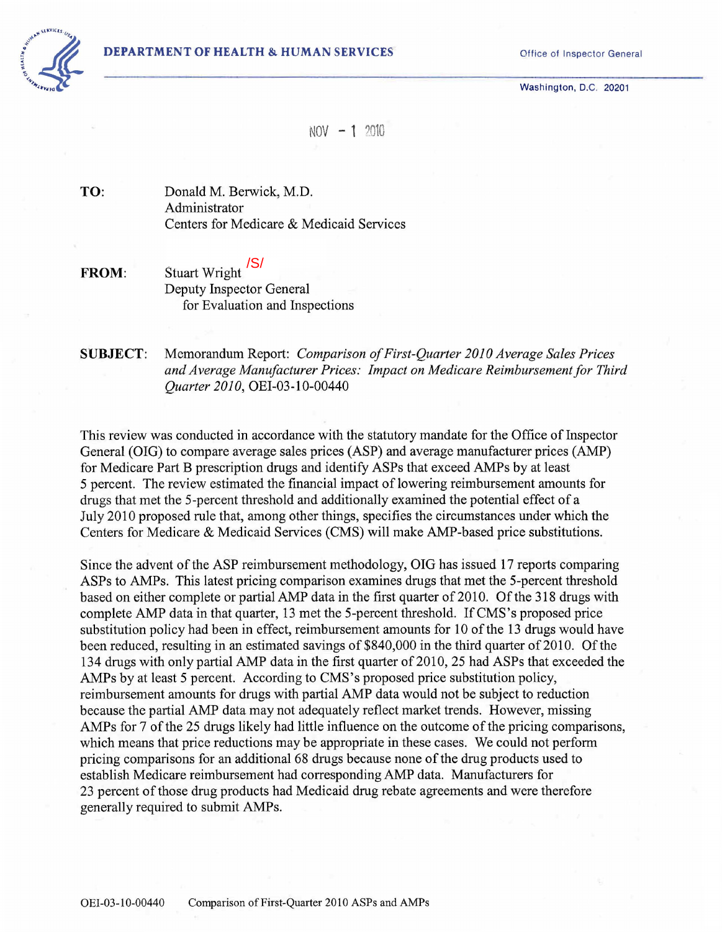

Washington, D.C. 20201

 $NOV - 1$  2010

TO: Donald M. Berwick, M.D. Administrator Centers for Medicare & Medicaid Services

FROM: Stuart Wright <sup>/S/</sup> Deputy Inspector General for Evaluation and Inspections

SUBJECT: Memorandum Report: *Comparison of First-Quarter 2010 Average Sales Prices and Average Manufacturer Prices: Impact on Medicare Reimbursement for Third Quarter 2010,* OEI-03-10-00440

This review was conducted in accordance with the statutory mandate for the Office of Inspector General (OIG) to compare average sales prices (ASP) and average manufacturer prices (AMP) for Medicare Part B prescription drugs and identify ASPs that exceed AMPs by at least 5 percent. The review estimated the financial impact of lowering reimbursement amounts for drugs that met the 5-percent threshold and additionally examined the potential effect of a July 2010 proposed rule that, among other things, specifies the circumstances under which the Centers for Medicare & Medicaid Services (CMS) will make AMP-based price substitutions.

Since the advent of the ASP reimbursement methodology, OIG has issued 17 reports comparing ASPs to AMPs. This latest pricing comparison examines drugs that met the 5-percent threshold based on either complete or partial AMP data in the first quarter of 2010. Of the 318 drugs with complete AMP data in that quarter, 13 met the 5-percent threshold. IfCMS's proposed price substitution policy had been in effect, reimbursement amounts for 10 of the 13 drugs would have been reduced, resulting in an estimated savings of \$840,000 in the third quarter of 2010. Of the 134 drugs with only partial AMP data in the first quarter of 2010, 25 had ASPs that exceeded the AMPs by at least 5 percent. According to CMS's proposed price substitution policy, reimbursement amounts for drugs with partial AMP data would not be subject to reduction because the partial AMP data may not adequately reflect market trends. However, missing AMPs for 7 of the 25 drugs likely had little influence on the outcome of the pricing comparisons, which means that price reductions may be appropriate in these cases. We could not perform pricing comparisons for an additional 68 drugs because none of the drug products used to establish Medicare reimbursement had corresponding AMP data. Manufacturers for 23 percent of those drug products had Medicaid drug rebate agreements and were therefore generally required to submit AMPs.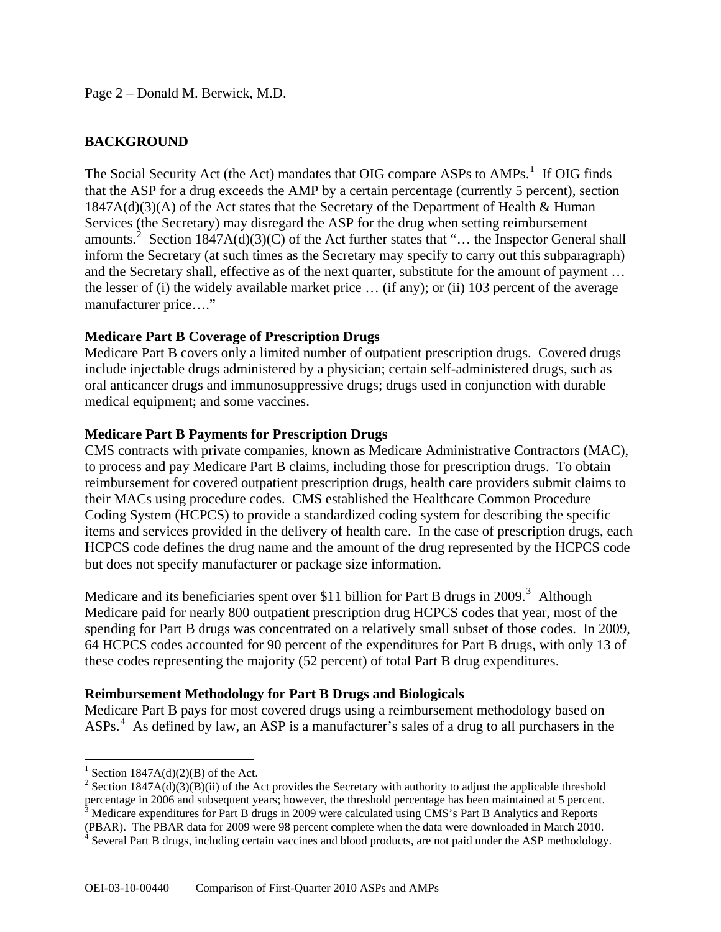# **BACKGROUND**

that the ASP for a drug exceeds the AMP by a certain percentage (currently 5 percent), section The Social Security Act (the Act) mandates that OIG compare ASPs to  $AMPs$ <sup>[1](#page-1-0)</sup>. If OIG finds  $1847A(d)(3)(A)$  of the Act states that the Secretary of the Department of Health & Human Services (the Secretary) may disregard the ASP for the drug when setting reimbursement amounts.<sup>[2](#page-1-1)</sup> Section 1847A(d)(3)(C) of the Act further states that "... the Inspector General shall inform the Secretary (at such times as the Secretary may specify to carry out this subparagraph) and the Secretary shall, effective as of the next quarter, substitute for the amount of payment … the lesser of (i) the widely available market price … (if any); or (ii) 103 percent of the average manufacturer price…."

# **Medicare Part B Coverage of Prescription Drugs**

Medicare Part B covers only a limited number of outpatient prescription drugs. Covered drugs include injectable drugs administered by a physician; certain self-administered drugs, such as oral anticancer drugs and immunosuppressive drugs; drugs used in conjunction with durable medical equipment; and some vaccines.

# **Medicare Part B Payments for Prescription Drugs**

CMS contracts with private companies, known as Medicare Administrative Contractors (MAC), to process and pay Medicare Part B claims, including those for prescription drugs. To obtain reimbursement for covered outpatient prescription drugs, health care providers submit claims to their MACs using procedure codes. CMS established the Healthcare Common Procedure Coding System (HCPCS) to provide a standardized coding system for describing the specific items and services provided in the delivery of health care. In the case of prescription drugs, each HCPCS code defines the drug name and the amount of the drug represented by the HCPCS code but does not specify manufacturer or package size information.

Medicare and its beneficiaries spent over \$11 billion for Part B drugs in 2009.<sup>[3](#page-1-2)</sup> Although Medicare paid for nearly 800 outpatient prescription drug HCPCS codes that year, most of the spending for Part B drugs was concentrated on a relatively small subset of those codes. In 2009, 64 HCPCS codes accounted for 90 percent of the expenditures for Part B drugs, with only 13 of these codes representing the majority (52 percent) of total Part B drug expenditures.

## **Reimbursement Methodology for Part B Drugs and Biologicals**

Medicare Part B pays for most covered drugs using a reimbursement methodology based on ASPs.<sup>[4](#page-1-3)</sup> As defined by law, an ASP is a manufacturer's sales of a drug to all purchasers in the

<span id="page-1-0"></span><sup>&</sup>lt;sup>1</sup> Section 1847A(d)(2)(B) of the Act.

<span id="page-1-1"></span><sup>&</sup>lt;sup>2</sup> Section 1847A(d)(3)(B)(ii) of the Act provides the Secretary with authority to adjust the applicable threshold percentage in 2006 and subsequent years; however, the threshold percentage has been maintained at 5 percent.<br><sup>3</sup> Medicare expenditures for Part B drugs in 2009 were calculated using CMS's Part B Analytics and Reports

<span id="page-1-2"></span><sup>(</sup>PBAR). The PBAR data for 2009 were 98 percent complete when the data were downloaded in March 2010.

<span id="page-1-3"></span><sup>&</sup>lt;sup>4</sup> Several Part B drugs, including certain vaccines and blood products, are not paid under the ASP methodology.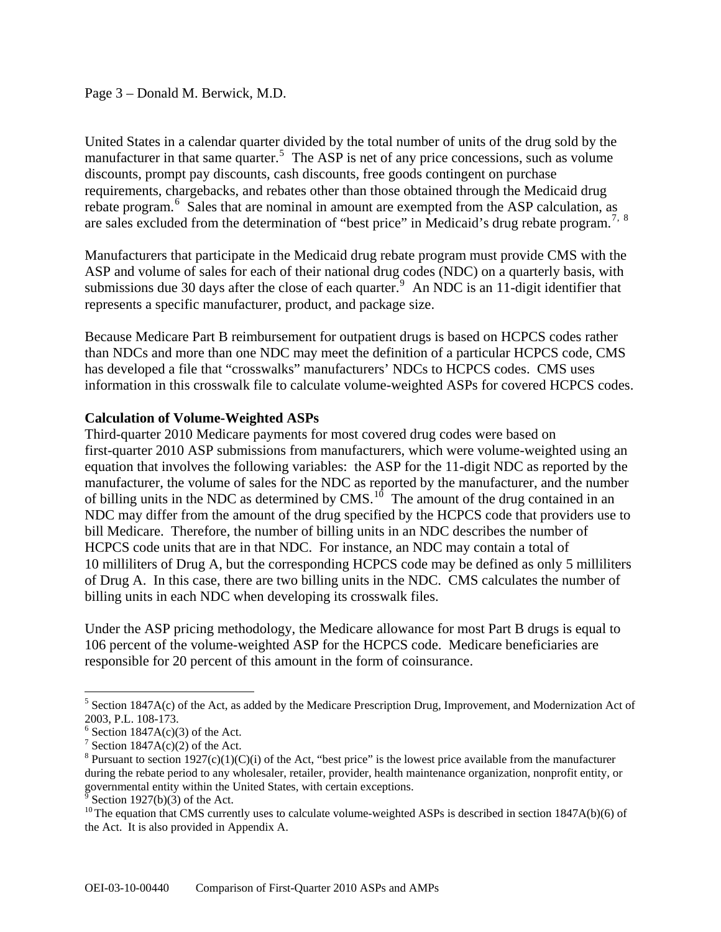## Page 3 – Donald M. Berwick, M.D.

United States in a calendar quarter divided by the total number of units of the drug sold by the manufacturer in that same quarter.<sup>[5](#page-2-0)</sup> The ASP is net of any price concessions, such as volume discounts, prompt pay discounts, cash discounts, free goods contingent on purchase requirements, chargebacks, and rebates other than those obtained through the Medicaid drug rebate program.<sup>[6](#page-2-1)</sup> Sales that are nominal in amount are exempted from the ASP calculation, as are sales excluded from the determination of "best price" in Medicaid's drug rebate program.<sup>[7](#page-2-2), [8](#page-2-3)</sup>

Manufacturers that participate in the Medicaid drug rebate program must provide CMS with the ASP and volume of sales for each of their national drug codes (NDC) on a quarterly basis, with submissions due 30 days after the close of each quarter.  $9$  An NDC is an 11-digit identifier that represents a specific manufacturer, product, and package size.

Because Medicare Part B reimbursement for outpatient drugs is based on HCPCS codes rather than NDCs and more than one NDC may meet the definition of a particular HCPCS code, CMS has developed a file that "crosswalks" manufacturers' NDCs to HCPCS codes. CMS uses information in this crosswalk file to calculate volume-weighted ASPs for covered HCPCS codes.

### **Calculation of Volume-Weighted ASPs**

Third-quarter 2010 Medicare payments for most covered drug codes were based on first-quarter 2010 ASP submissions from manufacturers, which were volume-weighted using an equation that involves the following variables: the ASP for the 11-digit NDC as reported by the manufacturer, the volume of sales for the NDC as reported by the manufacturer, and the number of billing units in the NDC as determined by CMS.<sup>[10](#page-2-5)</sup> The amount of the drug contained in an NDC may differ from the amount of the drug specified by the HCPCS code that providers use to bill Medicare. Therefore, the number of billing units in an NDC describes the number of HCPCS code units that are in that NDC. For instance, an NDC may contain a total of 10 milliliters of Drug A, but the corresponding HCPCS code may be defined as only 5 milliliters of Drug A. In this case, there are two billing units in the NDC. CMS calculates the number of billing units in each NDC when developing its crosswalk files.

Under the ASP pricing methodology, the Medicare allowance for most Part B drugs is equal to 106 percent of the volume-weighted ASP for the HCPCS code. Medicare beneficiaries are responsible for 20 percent of this amount in the form of coinsurance.

<span id="page-2-0"></span> $<sup>5</sup>$  Section 1847A(c) of the Act, as added by the Medicare Prescription Drug, Improvement, and Modernization Act of</sup> 2003, P.L. 108-173.

<span id="page-2-1"></span> $6$  Section 1847A(c)(3) of the Act.

<sup>&</sup>lt;sup>7</sup> Section 1847A(c)(2) of the Act.

<span id="page-2-3"></span><span id="page-2-2"></span><sup>&</sup>lt;sup>8</sup> Pursuant to section 1927(c)(1)(C)(i) of the Act, "best price" is the lowest price available from the manufacturer during the rebate period to any wholesaler, retailer, provider, health maintenance organization, nonprofit entity, or governmental entity within the United States, with certain exceptions.<br><sup>9</sup> Section 1927(b)(3) of the Act

Section 1927(b)(3) of the Act.

<span id="page-2-5"></span><span id="page-2-4"></span><sup>&</sup>lt;sup>10</sup> The equation that CMS currently uses to calculate volume-weighted ASPs is described in section 1847A(b)(6) of the Act. It is also provided in Appendix A.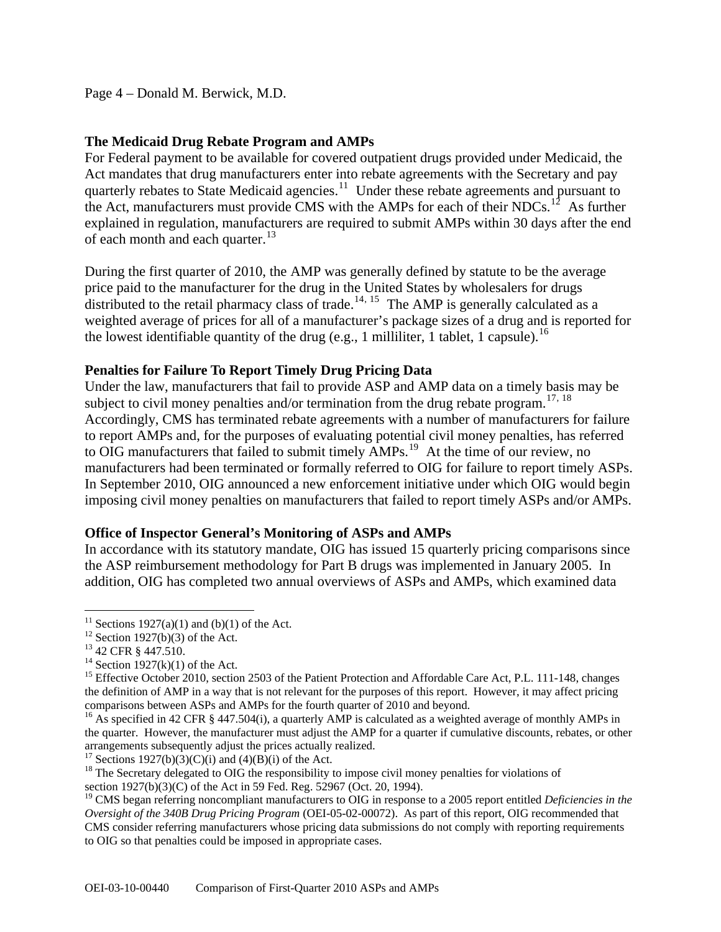Page 4 – Donald M. Berwick, M.D.

## **The Medicaid Drug Rebate Program and AMPs**

For Federal payment to be available for covered outpatient drugs provided under Medicaid, the Act mandates that drug manufacturers enter into rebate agreements with the Secretary and pay quarterly rebates to State Medicaid agencies.<sup>[11](#page-3-0)</sup> Under these rebate agreements and pursuant to the Act, manufacturers must provide CMS with the AMPs for each of their NDCs.<sup>[12](#page-3-1)</sup> As further explained in regulation, manufacturers are required to submit AMPs within 30 days after the end of each month and each quarter. $^{13}$  $^{13}$  $^{13}$ 

During the first quarter of 2010, the AMP was generally defined by statute to be the average price paid to the manufacturer for the drug in the United States by wholesalers for drugs distributed to the retail pharmacy class of trade.<sup>[14](#page-3-3), [15](#page-3-4)</sup> The AMP is generally calculated as a weighted average of prices for all of a manufacturer's package sizes of a drug and is reported for the lowest identifiable quantity of the drug (e.g., 1 milliliter, 1 tablet, 1 capsule).<sup>[16](#page-3-5)</sup>

### **Penalties for Failure To Report Timely Drug Pricing Data**

Under the law, manufacturers that fail to provide ASP and AMP data on a timely basis may be subject to civil money penalties and/or termination from the drug rebate program.<sup>[17](#page-3-6), [18](#page-3-7)</sup> Accordingly, CMS has terminated rebate agreements with a number of manufacturers for failure to report AMPs and, for the purposes of evaluating potential civil money penalties, has referred to OIG manufacturers that failed to submit timely AMPs.<sup>[19](#page-3-8)</sup> At the time of our review, no manufacturers had been terminated or formally referred to OIG for failure to report timely ASPs. In September 2010, OIG announced a new enforcement initiative under which OIG would begin imposing civil money penalties on manufacturers that failed to report timely ASPs and/or AMPs.

### **Office of Inspector General's Monitoring of ASPs and AMPs**

In accordance with its statutory mandate, OIG has issued 15 quarterly pricing comparisons since the ASP reimbursement methodology for Part B drugs was implemented in January 2005. In addition, OIG has completed two annual overviews of ASPs and AMPs, which examined data

<span id="page-3-6"></span>

<sup>&</sup>lt;sup>11</sup> Sections 1927(a)(1) and (b)(1) of the Act.

<span id="page-3-1"></span><span id="page-3-0"></span> $12$  Section 1927(b)(3) of the Act.

<span id="page-3-2"></span><sup>&</sup>lt;sup>13</sup> 42 CFR § 447.510.

<sup>&</sup>lt;sup>14</sup> Section 1927(k)(1) of the Act.

<span id="page-3-4"></span><span id="page-3-3"></span><sup>&</sup>lt;sup>15</sup> Effective October 2010, section 2503 of the Patient Protection and Affordable Care Act, P.L. 111-148, changes the definition of AMP in a way that is not relevant for the purposes of this report. However, it may affect pricing comparisons between ASPs and AMPs for the fourth quarter of 2010 and beyond.

<span id="page-3-5"></span><sup>&</sup>lt;sup>16</sup> As specified in 42 CFR § 447.504(i), a quarterly AMP is calculated as a weighted average of monthly AMPs in the quarter. However, the manufacturer must adjust the AMP for a quarter if cumulative discounts, rebates, or other arrangements subsequently adjust the prices actually realized. <sup>17</sup> Sections 1927(b)(3)(C)(i) and (4)(B)(i) of the Act.

<span id="page-3-7"></span><sup>&</sup>lt;sup>18</sup> The Secretary delegated to OIG the responsibility to impose civil money penalties for violations of section 1927(b)(3)(C) of the Act in 59 Fed. Reg. 52967 (Oct. 20, 1994).

<span id="page-3-8"></span><sup>19</sup> CMS began referring noncompliant manufacturers to OIG in response to a 2005 report entitled *Deficiencies in the Oversight of the 340B Drug Pricing Program* (OEI-05-02-00072). As part of this report, OIG recommended that CMS consider referring manufacturers whose pricing data submissions do not comply with reporting requirements to OIG so that penalties could be imposed in appropriate cases.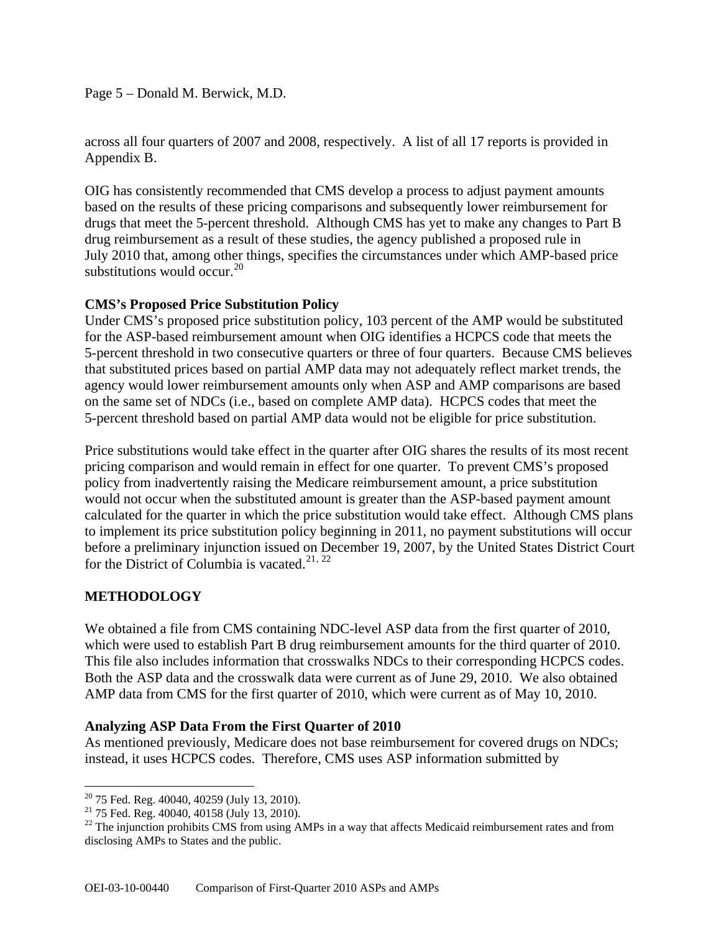## Page 5 – Donald M. Berwick, M.D.

across all four quarters of 2007 and 2008, respectively. A list of all 17 reports is provided in Appendix B.

OIG has consistently recommended that CMS develop a process to adjust payment amounts based on the results of these pricing comparisons and subsequently lower reimbursement for drugs that meet the 5-percent threshold. Although CMS has yet to make any changes to Part B drug reimbursement as a result of these studies, the agency published a proposed rule in July 2010 that, among other things, specifies the circumstances under which AMP-based price substitutions would occur.<sup>[20](#page-4-0)</sup>

# **CMS's Proposed Price Substitution Policy**

Under CMS's proposed price substitution policy, 103 percent of the AMP would be substituted for the ASP-based reimbursement amount when OIG identifies a HCPCS code that meets the 5-percent threshold in two consecutive quarters or three of four quarters. Because CMS believes that substituted prices based on partial AMP data may not adequately reflect market trends, the agency would lower reimbursement amounts only when ASP and AMP comparisons are based on the same set of NDCs (i.e., based on complete AMP data). HCPCS codes that meet the 5-percent threshold based on partial AMP data would not be eligible for price substitution.

Price substitutions would take effect in the quarter after OIG shares the results of its most recent pricing comparison and would remain in effect for one quarter. To prevent CMS's proposed policy from inadvertently raising the Medicare reimbursement amount, a price substitution would not occur when the substituted amount is greater than the ASP-based payment amount calculated for the quarter in which the price substitution would take effect. Although CMS plans to implement its price substitution policy beginning in 2011, no payment substitutions will occur before a preliminary injunction issued on December 19, 2007, by the United States District Court for the District of Columbia is vacated.<sup>[21](#page-4-1), [22](#page-4-2)</sup>

# **METHODOLOGY**

 $\overline{a}$ 

We obtained a file from CMS containing NDC-level ASP data from the first quarter of 2010, which were used to establish Part B drug reimbursement amounts for the third quarter of 2010. This file also includes information that crosswalks NDCs to their corresponding HCPCS codes. Both the ASP data and the crosswalk data were current as of June 29, 2010. We also obtained AMP data from CMS for the first quarter of 2010, which were current as of May 10, 2010.

## **Analyzing ASP Data From the First Quarter of 2010**

As mentioned previously, Medicare does not base reimbursement for covered drugs on NDCs; instead, it uses HCPCS codes. Therefore, CMS uses ASP information submitted by

<span id="page-4-0"></span> $20$  75 Fed. Reg. 40040, 40259 (July 13, 2010).

<sup>&</sup>lt;sup>21</sup> 75 Fed. Reg. 40040, 40158 (July 13, 2010).

<span id="page-4-2"></span><span id="page-4-1"></span><sup>&</sup>lt;sup>22</sup> The injunction prohibits CMS from using AMPs in a way that affects Medicaid reimbursement rates and from disclosing AMPs to States and the public.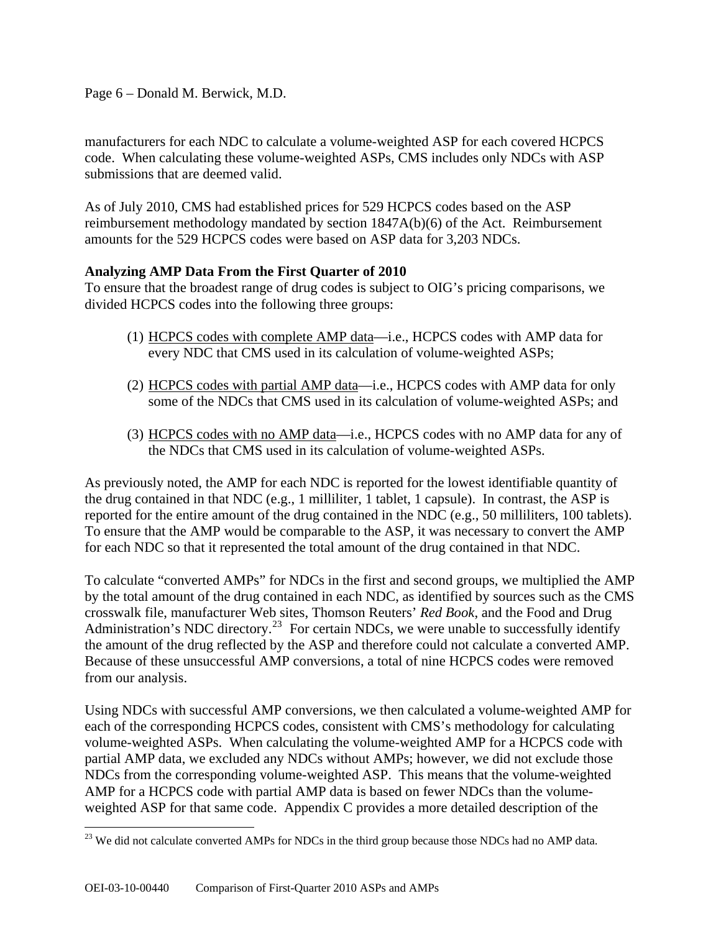Page 6 – Donald M. Berwick, M.D.

manufacturers for each NDC to calculate a volume-weighted ASP for each covered HCPCS code. When calculating these volume-weighted ASPs, CMS includes only NDCs with ASP submissions that are deemed valid.

As of July 2010, CMS had established prices for 529 HCPCS codes based on the ASP reimbursement methodology mandated by section 1847A(b)(6) of the Act. Reimbursement amounts for the 529 HCPCS codes were based on ASP data for 3,203 NDCs.

# **Analyzing AMP Data From the First Quarter of 2010**

To ensure that the broadest range of drug codes is subject to OIG's pricing comparisons, we divided HCPCS codes into the following three groups:

- (1) HCPCS codes with complete AMP data—i.e., HCPCS codes with AMP data for every NDC that CMS used in its calculation of volume-weighted ASPs;
- (2) HCPCS codes with partial AMP data—i.e., HCPCS codes with AMP data for only some of the NDCs that CMS used in its calculation of volume-weighted ASPs; and
- (3) HCPCS codes with no AMP data—i.e., HCPCS codes with no AMP data for any of the NDCs that CMS used in its calculation of volume-weighted ASPs.

As previously noted, the AMP for each NDC is reported for the lowest identifiable quantity of the drug contained in that NDC (e.g., 1 milliliter, 1 tablet, 1 capsule). In contrast, the ASP is reported for the entire amount of the drug contained in the NDC (e.g., 50 milliliters, 100 tablets). To ensure that the AMP would be comparable to the ASP, it was necessary to convert the AMP for each NDC so that it represented the total amount of the drug contained in that NDC.

To calculate "converted AMPs" for NDCs in the first and second groups, we multiplied the AMP by the total amount of the drug contained in each NDC, as identified by sources such as the CMS crosswalk file, manufacturer Web sites, Thomson Reuters' *Red Book*, and the Food and Drug Administration's NDC directory.<sup>[23](#page-5-0)</sup> For certain NDCs, we were unable to successfully identify the amount of the drug reflected by the ASP and therefore could not calculate a converted AMP. Because of these unsuccessful AMP conversions, a total of nine HCPCS codes were removed from our analysis.

Using NDCs with successful AMP conversions, we then calculated a volume-weighted AMP for each of the corresponding HCPCS codes, consistent with CMS's methodology for calculating volume-weighted ASPs. When calculating the volume-weighted AMP for a HCPCS code with partial AMP data, we excluded any NDCs without AMPs; however, we did not exclude those NDCs from the corresponding volume-weighted ASP. This means that the volume-weighted AMP for a HCPCS code with partial AMP data is based on fewer NDCs than the volumeweighted ASP for that same code. Appendix C provides a more detailed description of the

<span id="page-5-0"></span><sup>&</sup>lt;sup>23</sup> We did not calculate converted AMPs for NDCs in the third group because those NDCs had no AMP data.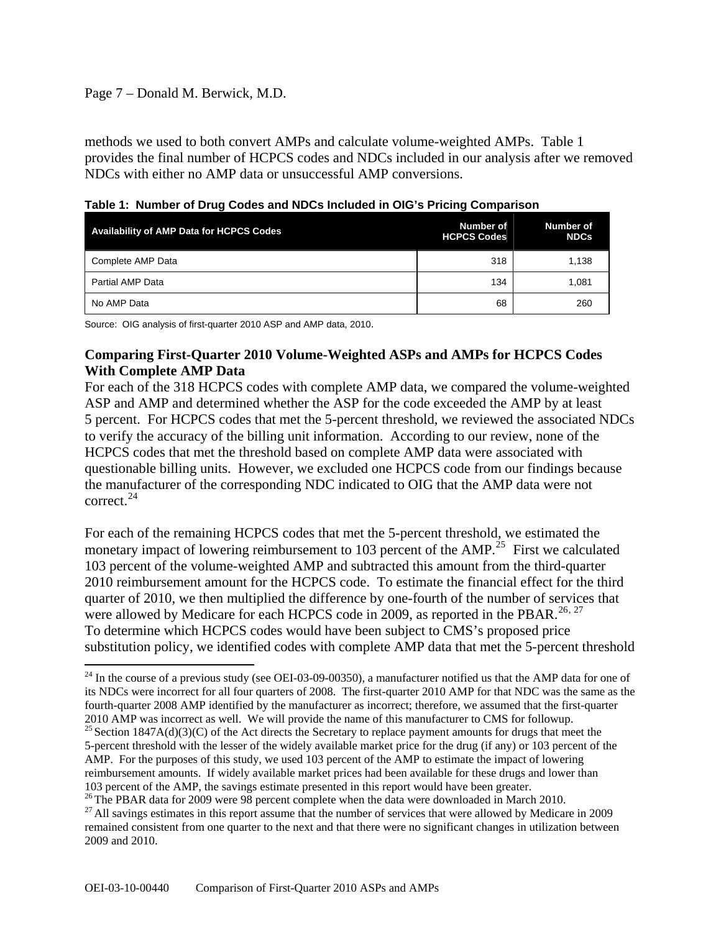## Page 7 – Donald M. Berwick, M.D.

methods we used to both convert AMPs and calculate volume-weighted AMPs. Table 1 provides the final number of HCPCS codes and NDCs included in our analysis after we removed NDCs with either no AMP data or unsuccessful AMP conversions.

| <b>Availability of AMP Data for HCPCS Codes</b> | Number of<br><b>HCPCS Codes</b> | Number of<br><b>NDCs</b> |
|-------------------------------------------------|---------------------------------|--------------------------|
| Complete AMP Data                               | 318                             | 1.138                    |
| Partial AMP Data                                | 134                             | 1,081                    |
| No AMP Data                                     | 68                              | 260                      |

Source: OIG analysis of first-quarter 2010 ASP and AMP data, 2010.

# **Comparing First-Quarter 2010 Volume-Weighted ASPs and AMPs for HCPCS Codes With Complete AMP Data**

For each of the 318 HCPCS codes with complete AMP data, we compared the volume-weighted ASP and AMP and determined whether the ASP for the code exceeded the AMP by at least 5 percent. For HCPCS codes that met the 5-percent threshold, we reviewed the associated NDCs to verify the accuracy of the billing unit information. According to our review, none of the HCPCS codes that met the threshold based on complete AMP data were associated with questionable billing units. However, we excluded one HCPCS code from our findings because the manufacturer of the corresponding NDC indicated to OIG that the AMP data were not correct. $^{24}$  $^{24}$  $^{24}$ 

For each of the remaining HCPCS codes that met the 5-percent threshold, we estimated the monetary impact of lowering reimbursement to 103 percent of the  $AMP<sup>25</sup>$  $AMP<sup>25</sup>$  $AMP<sup>25</sup>$  First we calculated 103 percent of the volume-weighted AMP and subtracted this amount from the third-quarter 2010 reimbursement amount for the HCPCS code. To estimate the financial effect for the third quarter of 2010, we then multiplied the difference by one-fourth of the number of services that were allowed by Medicare for each HCPCS code in 2009, as reported in the PBAR.<sup>[26](#page-6-2), [27](#page-6-3)</sup> To determine which HCPCS codes would have been subject to CMS's proposed price substitution policy, we identified codes with complete AMP data that met the 5-percent threshold

<span id="page-6-2"></span>

<span id="page-6-0"></span><sup>1</sup>  $^{24}$  In the course of a previous study (see OEI-03-09-00350), a manufacturer notified us that the AMP data for one of its NDCs were incorrect for all four quarters of 2008. The first-quarter 2010 AMP for that NDC was the same as the fourth-quarter 2008 AMP identified by the manufacturer as incorrect; therefore, we assumed that the first-quarter

<span id="page-6-1"></span> $25$  Section 1847A(d)(3)(C) of the Act directs the Secretary to replace payment amounts for drugs that meet the  $25$ 5-percent threshold with the lesser of the widely available market price for the drug (if any) or 103 percent of the AMP. For the purposes of this study, we used 103 percent of the AMP to estimate the impact of lowering reimbursement amounts. If widely available market prices had been available for these drugs and lower than 103 percent of the AMP, the savings estimate presented in this report would have been greater.<br><sup>26</sup> The PBAR data for 2009 were 98 percent complete when the data were downloaded in March 2010.

<span id="page-6-3"></span> $27$  All savings estimates in this report assume that the number of services that were allowed by Medicare in 2009 remained consistent from one quarter to the next and that there were no significant changes in utilization between 2009 and 2010.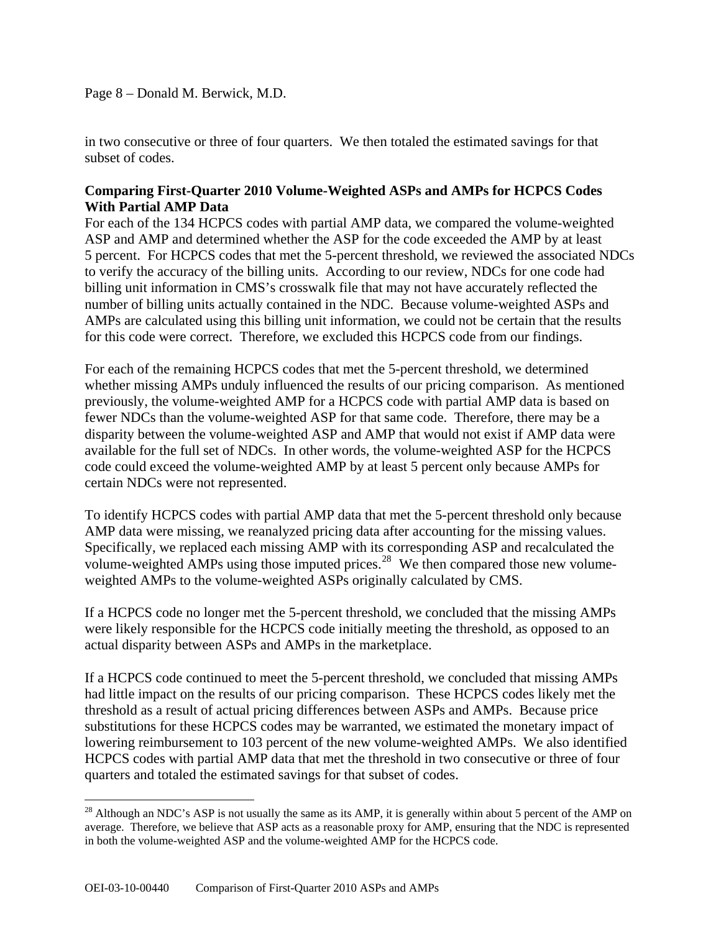Page 8 – Donald M. Berwick, M.D.

in two consecutive or three of four quarters. We then totaled the estimated savings for that subset of codes.

# **Comparing First-Quarter 2010 Volume-Weighted ASPs and AMPs for HCPCS Codes With Partial AMP Data**

For each of the 134 HCPCS codes with partial AMP data, we compared the volume-weighted ASP and AMP and determined whether the ASP for the code exceeded the AMP by at least 5 percent. For HCPCS codes that met the 5-percent threshold, we reviewed the associated NDCs to verify the accuracy of the billing units. According to our review, NDCs for one code had billing unit information in CMS's crosswalk file that may not have accurately reflected the number of billing units actually contained in the NDC. Because volume-weighted ASPs and AMPs are calculated using this billing unit information, we could not be certain that the results for this code were correct. Therefore, we excluded this HCPCS code from our findings.

For each of the remaining HCPCS codes that met the 5-percent threshold, we determined whether missing AMPs unduly influenced the results of our pricing comparison. As mentioned previously, the volume-weighted AMP for a HCPCS code with partial AMP data is based on fewer NDCs than the volume-weighted ASP for that same code. Therefore, there may be a disparity between the volume-weighted ASP and AMP that would not exist if AMP data were available for the full set of NDCs. In other words, the volume-weighted ASP for the HCPCS code could exceed the volume-weighted AMP by at least 5 percent only because AMPs for certain NDCs were not represented.

To identify HCPCS codes with partial AMP data that met the 5-percent threshold only because AMP data were missing, we reanalyzed pricing data after accounting for the missing values. Specifically, we replaced each missing AMP with its corresponding ASP and recalculated the volume-weighted AMPs using those imputed prices.<sup>[28](#page-7-0)</sup> We then compared those new volumeweighted AMPs to the volume-weighted ASPs originally calculated by CMS.

If a HCPCS code no longer met the 5-percent threshold, we concluded that the missing AMPs were likely responsible for the HCPCS code initially meeting the threshold, as opposed to an actual disparity between ASPs and AMPs in the marketplace.

If a HCPCS code continued to meet the 5-percent threshold, we concluded that missing AMPs had little impact on the results of our pricing comparison. These HCPCS codes likely met the threshold as a result of actual pricing differences between ASPs and AMPs. Because price substitutions for these HCPCS codes may be warranted, we estimated the monetary impact of lowering reimbursement to 103 percent of the new volume-weighted AMPs. We also identified HCPCS codes with partial AMP data that met the threshold in two consecutive or three of four quarters and totaled the estimated savings for that subset of codes.

<span id="page-7-0"></span> $^{28}$  Although an NDC's ASP is not usually the same as its AMP, it is generally within about 5 percent of the AMP on average. Therefore, we believe that ASP acts as a reasonable proxy for AMP, ensuring that the NDC is represented in both the volume-weighted ASP and the volume-weighted AMP for the HCPCS code.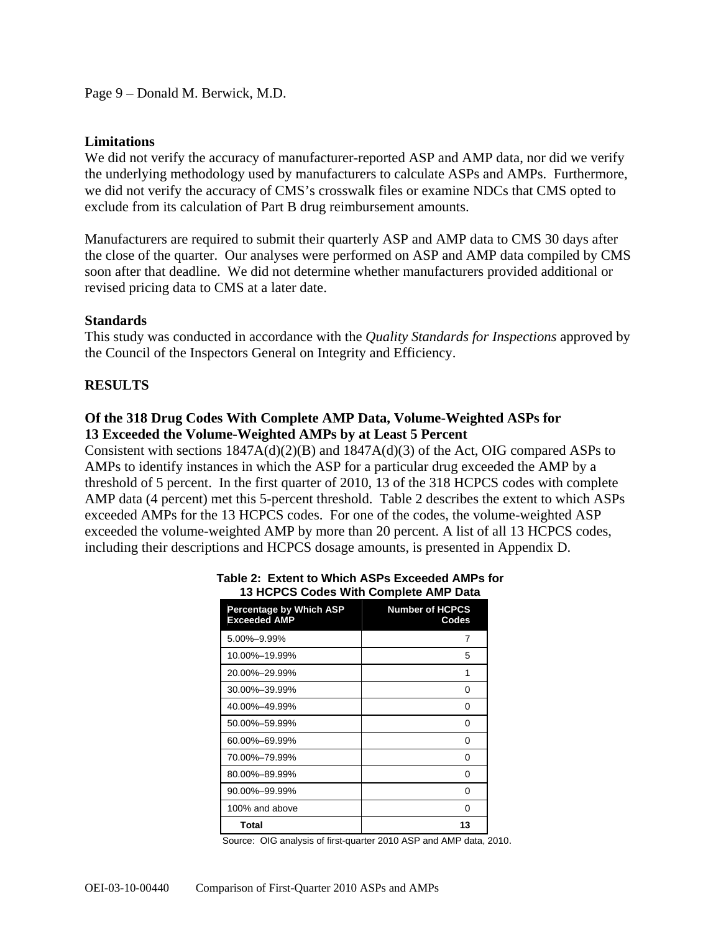Page 9 – Donald M. Berwick, M.D.

### **Limitations**

We did not verify the accuracy of manufacturer-reported ASP and AMP data, nor did we verify the underlying methodology used by manufacturers to calculate ASPs and AMPs. Furthermore, we did not verify the accuracy of CMS's crosswalk files or examine NDCs that CMS opted to exclude from its calculation of Part B drug reimbursement amounts.

Manufacturers are required to submit their quarterly ASP and AMP data to CMS 30 days after the close of the quarter. Our analyses were performed on ASP and AMP data compiled by CMS soon after that deadline. We did not determine whether manufacturers provided additional or revised pricing data to CMS at a later date.

### **Standards**

This study was conducted in accordance with the *Quality Standards for Inspections* approved by the Council of the Inspectors General on Integrity and Efficiency.

## **RESULTS**

## **Of the 318 Drug Codes With Complete AMP Data, Volume-Weighted ASPs for 13 Exceeded the Volume-Weighted AMPs by at Least 5 Percent**

Consistent with sections  $1847A(d)(2)(B)$  and  $1847A(d)(3)$  of the Act, OIG compared ASPs to AMPs to identify instances in which the ASP for a particular drug exceeded the AMP by a threshold of 5 percent. In the first quarter of 2010, 13 of the 318 HCPCS codes with complete AMP data (4 percent) met this 5-percent threshold. Table 2 describes the extent to which ASPs exceeded AMPs for the 13 HCPCS codes. For one of the codes, the volume-weighted ASP exceeded the volume-weighted AMP by more than 20 percent. A list of all 13 HCPCS codes, including their descriptions and HCPCS dosage amounts, is presented in Appendix D.

| Percentage by Which ASP<br><b>Exceeded AMP</b> | <b>Number of HCPCS</b><br>Codes |
|------------------------------------------------|---------------------------------|
| 5.00%-9.99%                                    | 7                               |
| 10.00%-19.99%                                  | 5                               |
| 20.00%-29.99%                                  | 1                               |
| 30.00%-39.99%                                  | 0                               |
| 40.00%-49.99%                                  | 0                               |
| 50.00%-59.99%                                  | 0                               |
| 60.00%-69.99%                                  | 0                               |
| 70.00%-79.99%                                  | 0                               |
| 80.00%-89.99%                                  | 0                               |
| 90.00%-99.99%                                  | 0                               |
| 100% and above                                 | 0                               |
| Total                                          | 13                              |

#### **Table 2: Extent to Which ASPs Exceeded AMPs for 13 HCPCS Codes With Complete AMP Data**

Source: OIG analysis of first-quarter 2010 ASP and AMP data, 2010.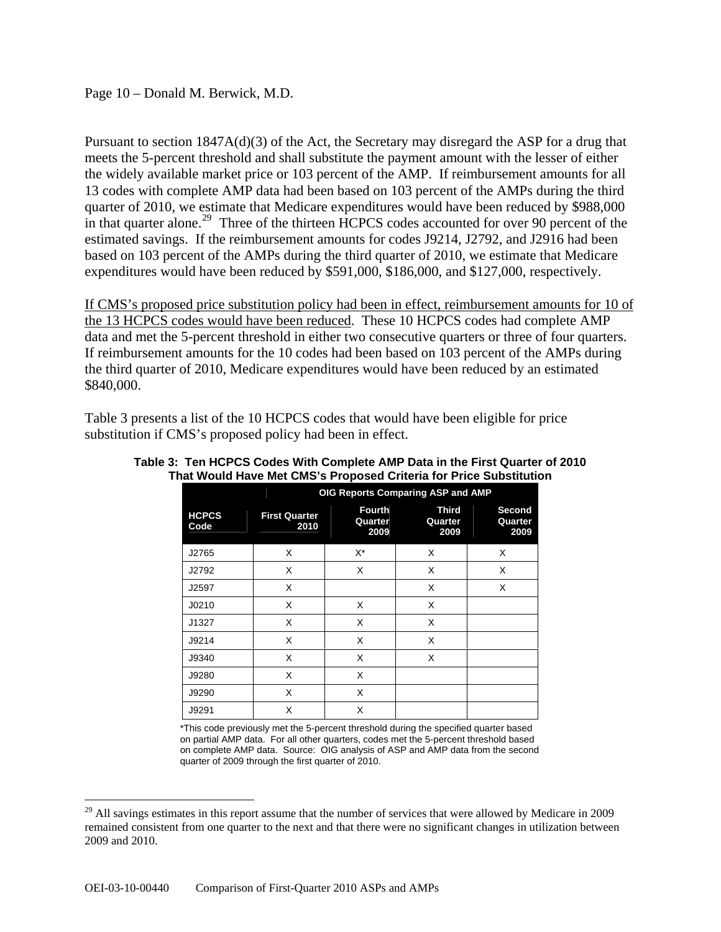## Page 10 – Donald M. Berwick, M.D.

Pursuant to section 1847A(d)(3) of the Act, the Secretary may disregard the ASP for a drug that meets the 5-percent threshold and shall substitute the payment amount with the lesser of either the widely available market price or 103 percent of the AMP. If reimbursement amounts for all 13 codes with complete AMP data had been based on 103 percent of the AMPs during the third quarter of 2010, we estimate that Medicare expenditures would have been reduced by \$988,000 in that quarter alone.<sup>[29](#page-9-0)</sup> Three of the thirteen HCPCS codes accounted for over 90 percent of the estimated savings. If the reimbursement amounts for codes J9214, J2792, and J2916 had been based on 103 percent of the AMPs during the third quarter of 2010, we estimate that Medicare expenditures would have been reduced by \$591,000, \$186,000, and \$127,000, respectively.

If CMS's proposed price substitution policy had been in effect, reimbursement amounts for 10 of the 13 HCPCS codes would have been reduced. These 10 HCPCS codes had complete AMP data and met the 5-percent threshold in either two consecutive quarters or three of four quarters. If reimbursement amounts for the 10 codes had been based on 103 percent of the AMPs during the third quarter of 2010, Medicare expenditures would have been reduced by an estimated \$840,000.

Table 3 presents a list of the 10 HCPCS codes that would have been eligible for price substitution if CMS's proposed policy had been in effect.

|                      | . <b>.</b><br>OIG Reports Comparing ASP and AMP |                                  |                                 |                                  |
|----------------------|-------------------------------------------------|----------------------------------|---------------------------------|----------------------------------|
| <b>HCPCS</b><br>Code | <b>First Quarter</b><br>2010                    | <b>Fourth</b><br>Quarter<br>2009 | <b>Third</b><br>Quarter<br>2009 | <b>Second</b><br>Quarter<br>2009 |
| J2765                | X                                               | X*                               | X                               | X                                |
| J2792                | X                                               | X                                | X                               | X                                |
| J2597                | X                                               |                                  | X                               | X                                |
| J0210                | X                                               | X                                | X                               |                                  |
| J1327                | X                                               | X                                | X                               |                                  |
| J9214                | X                                               | X                                | X                               |                                  |
| J9340                | X                                               | X                                | X                               |                                  |
| J9280                | X                                               | X                                |                                 |                                  |
| J9290                | X                                               | X                                |                                 |                                  |
| J9291                | X                                               | X                                |                                 |                                  |

**Table 3: Ten HCPCS Codes With Complete AMP Data in the First Quarter of 2010 That Would Have Met CMS's Proposed Criteria for Price Substitution** 

\*This code previously met the 5-percent threshold during the specified quarter based on partial AMP data. For all other quarters, codes met the 5-percent threshold based on complete AMP data. Source: OIG analysis of ASP and AMP data from the second quarter of 2009 through the first quarter of 2010.

<span id="page-9-0"></span><sup>&</sup>lt;sup>29</sup> All savings estimates in this report assume that the number of services that were allowed by Medicare in 2009 remained consistent from one quarter to the next and that there were no significant changes in utilization between 2009 and 2010.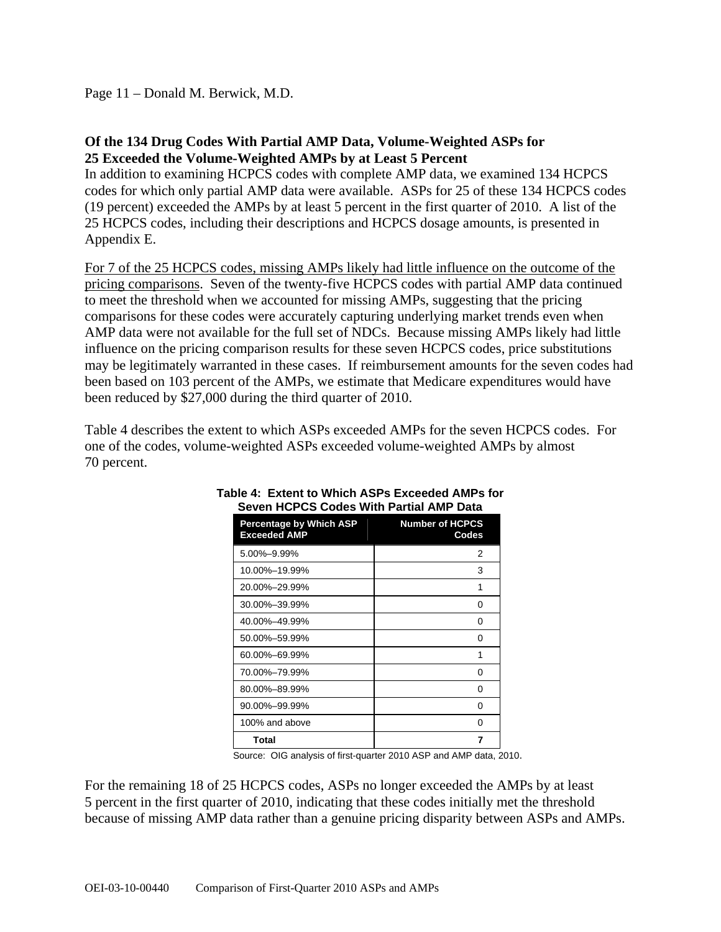Page 11 – Donald M. Berwick, M.D.

# **Of the 134 Drug Codes With Partial AMP Data, Volume-Weighted ASPs for 25 Exceeded the Volume-Weighted AMPs by at Least 5 Percent**

In addition to examining HCPCS codes with complete AMP data, we examined 134 HCPCS codes for which only partial AMP data were available. ASPs for 25 of these 134 HCPCS codes (19 percent) exceeded the AMPs by at least 5 percent in the first quarter of 2010. A list of the 25 HCPCS codes, including their descriptions and HCPCS dosage amounts, is presented in Appendix E.

For 7 of the 25 HCPCS codes, missing AMPs likely had little influence on the outcome of the pricing comparisons. Seven of the twenty-five HCPCS codes with partial AMP data continued to meet the threshold when we accounted for missing AMPs, suggesting that the pricing comparisons for these codes were accurately capturing underlying market trends even when AMP data were not available for the full set of NDCs. Because missing AMPs likely had little influence on the pricing comparison results for these seven HCPCS codes, price substitutions may be legitimately warranted in these cases. If reimbursement amounts for the seven codes had been based on 103 percent of the AMPs, we estimate that Medicare expenditures would have been reduced by \$27,000 during the third quarter of 2010.

Table 4 describes the extent to which ASPs exceeded AMPs for the seven HCPCS codes. For one of the codes, volume-weighted ASPs exceeded volume-weighted AMPs by almost 70 percent.

| Seven HCPCS COOPS With Partial AMP Data               |                                 |  |
|-------------------------------------------------------|---------------------------------|--|
| <b>Percentage by Which ASP</b><br><b>Exceeded AMP</b> | <b>Number of HCPCS</b><br>Codes |  |
| 5.00%-9.99%                                           | 2                               |  |
| 10.00%-19.99%                                         | 3                               |  |
| 20.00%-29.99%                                         | 1                               |  |
| 30.00%-39.99%                                         | 0                               |  |
| 40.00%-49.99%                                         | 0                               |  |
| 50.00%-59.99%                                         | 0                               |  |
| 60.00%-69.99%                                         | 1                               |  |
| 70.00%-79.99%                                         | 0                               |  |
| 80.00%-89.99%                                         | 0                               |  |
| 90.00%-99.99%                                         | 0                               |  |
| 100% and above                                        | 0                               |  |
| Total                                                 | 7                               |  |

### **Table 4: Extent to Which ASPs Exceeded AMPs for Seven HCPCS Codes With Partial AMP Data**

Source: OIG analysis of first-quarter 2010 ASP and AMP data, 2010.

For the remaining 18 of 25 HCPCS codes, ASPs no longer exceeded the AMPs by at least 5 percent in the first quarter of 2010, indicating that these codes initially met the threshold because of missing AMP data rather than a genuine pricing disparity between ASPs and AMPs.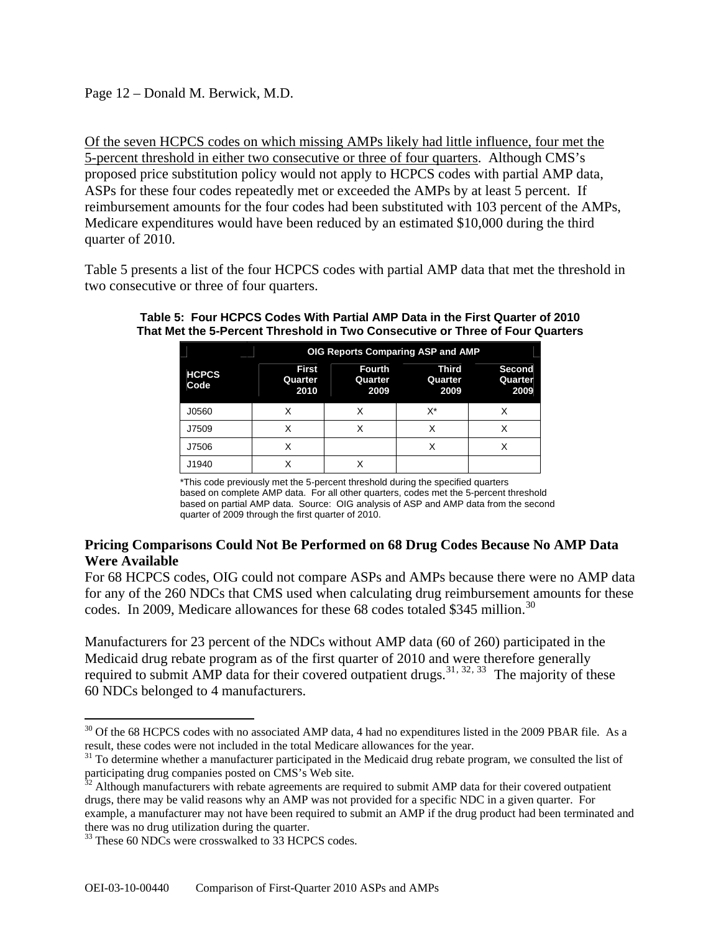# Page 12 – Donald M. Berwick, M.D.

Of the seven HCPCS codes on which missing AMPs likely had little influence, four met the 5-percent threshold in either two consecutive or three of four quarters. Although CMS's proposed price substitution policy would not apply to HCPCS codes with partial AMP data, ASPs for these four codes repeatedly met or exceeded the AMPs by at least 5 percent. If reimbursement amounts for the four codes had been substituted with 103 percent of the AMPs, Medicare expenditures would have been reduced by an estimated \$10,000 during the third quarter of 2010.

Table 5 presents a list of the four HCPCS codes with partial AMP data that met the threshold in two consecutive or three of four quarters.

| OIG Reports Comparing ASP and AMP |                                 |                                  |                                 |                           |
|-----------------------------------|---------------------------------|----------------------------------|---------------------------------|---------------------------|
| <b>HCPCS</b><br>Code              | <b>First</b><br>Quarter<br>2010 | <b>Fourth</b><br>Quarter<br>2009 | <b>Third</b><br>Quarter<br>2009 | Second<br>Quarter<br>2009 |
| J0560                             |                                 | х                                | X*                              |                           |
| J7509                             |                                 |                                  | X                               |                           |
| J7506                             | Χ                               |                                  | x                               |                           |
| J1940                             |                                 |                                  |                                 |                           |

### **Table 5: Four HCPCS Codes With Partial AMP Data in the First Quarter of 2010 That Met the 5-Percent Threshold in Two Consecutive or Three of Four Quarters**

\*This code previously met the 5-percent threshold during the specified quarters based on complete AMP data. For all other quarters, codes met the 5-percent threshold based on partial AMP data. Source: OIG analysis of ASP and AMP data from the second quarter of 2009 through the first quarter of 2010.

## **Pricing Comparisons Could Not Be Performed on 68 Drug Codes Because No AMP Data Were Available**

For 68 HCPCS codes, OIG could not compare ASPs and AMPs because there were no AMP data for any of the 260 NDCs that CMS used when calculating drug reimbursement amounts for these codes. In 2009, Medicare allowances for these 68 codes totaled \$345 million.<sup>[30](#page-11-0)</sup>

Manufacturers for 23 percent of the NDCs without AMP data (60 of 260) participated in the Medicaid drug rebate program as of the first quarter of 2010 and were therefore generally required to submit AMP data for their covered outpatient drugs.<sup>[31](#page-11-1), [32](#page-11-2), [33](#page-11-3)</sup> The majority of these 60 NDCs belonged to 4 manufacturers.

<span id="page-11-0"></span><sup>&</sup>lt;sup>30</sup> Of the 68 HCPCS codes with no associated AMP data, 4 had no expenditures listed in the 2009 PBAR file. As a result, these codes were not included in the total Medicare allowances for the year.

<span id="page-11-1"></span> $31$  To determine whether a manufacturer participated in the Medicaid drug rebate program, we consulted the list of participating drug companies posted on CMS's Web site.

<span id="page-11-2"></span> $32$  Although manufacturers with rebate agreements are required to submit AMP data for their covered outpatient drugs, there may be valid reasons why an AMP was not provided for a specific NDC in a given quarter. For example, a manufacturer may not have been required to submit an AMP if the drug product had been terminated and there was no drug utilization during the quarter.

<span id="page-11-3"></span><sup>&</sup>lt;sup>33</sup> These 60 NDCs were crosswalked to 33 HCPCS codes.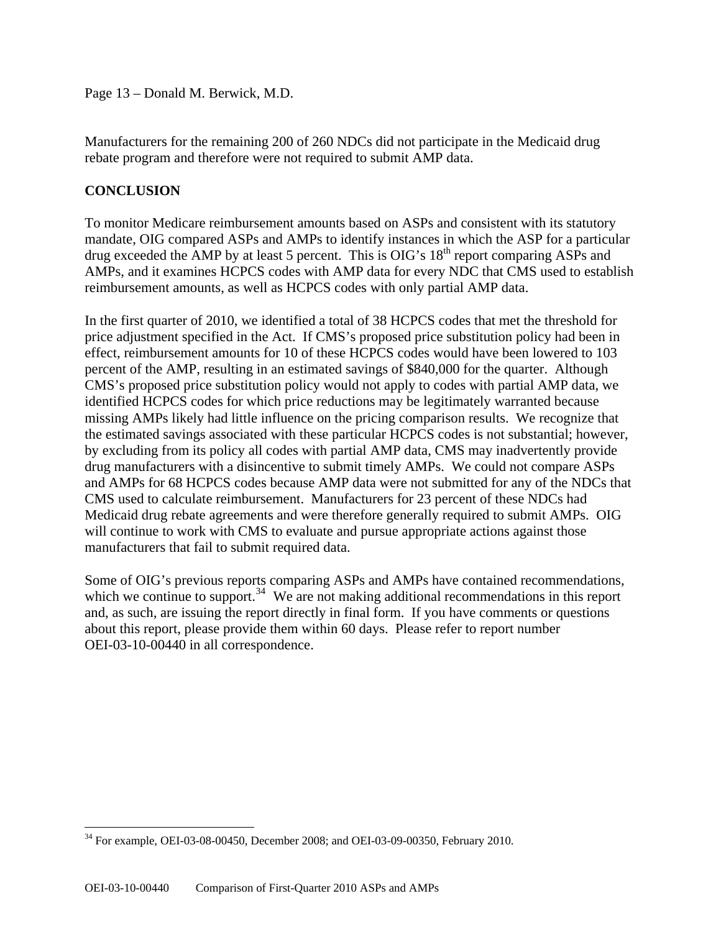Page 13 – Donald M. Berwick, M.D.

Manufacturers for the remaining 200 of 260 NDCs did not participate in the Medicaid drug rebate program and therefore were not required to submit AMP data.

# **CONCLUSION**

 $\overline{a}$ 

To monitor Medicare reimbursement amounts based on ASPs and consistent with its statutory mandate, OIG compared ASPs and AMPs to identify instances in which the ASP for a particular drug exceeded the AMP by at least 5 percent. This is OIG's  $18<sup>th</sup>$  report comparing ASPs and AMPs, and it examines HCPCS codes with AMP data for every NDC that CMS used to establish reimbursement amounts, as well as HCPCS codes with only partial AMP data.

In the first quarter of 2010, we identified a total of 38 HCPCS codes that met the threshold for price adjustment specified in the Act. If CMS's proposed price substitution policy had been in effect, reimbursement amounts for 10 of these HCPCS codes would have been lowered to 103 percent of the AMP, resulting in an estimated savings of \$840,000 for the quarter. Although CMS's proposed price substitution policy would not apply to codes with partial AMP data, we identified HCPCS codes for which price reductions may be legitimately warranted because missing AMPs likely had little influence on the pricing comparison results.We recognize that the estimated savings associated with these particular HCPCS codes is not substantial; however, by excluding from its policy all codes with partial AMP data, CMS may inadvertently provide drug manufacturers with a disincentive to submit timely AMPs.We could not compare ASPs and AMPs for 68 HCPCS codes because AMP data were not submitted for any of the NDCs that CMS used to calculate reimbursement. Manufacturers for 23 percent of these NDCs had Medicaid drug rebate agreements and were therefore generally required to submit AMPs. OIG will continue to work with CMS to evaluate and pursue appropriate actions against those manufacturers that fail to submit required data.

Some of OIG's previous reports comparing ASPs and AMPs have contained recommendations, which we continue to support.<sup>[34](#page-12-0)</sup> We are not making additional recommendations in this report and, as such, are issuing the report directly in final form. If you have comments or questions about this report, please provide them within 60 days. Please refer to report number OEI-03-10-00440 in all correspondence.

<span id="page-12-0"></span><sup>34</sup> For example, OEI-03-08-00450, December 2008; and OEI-03-09-00350, February 2010.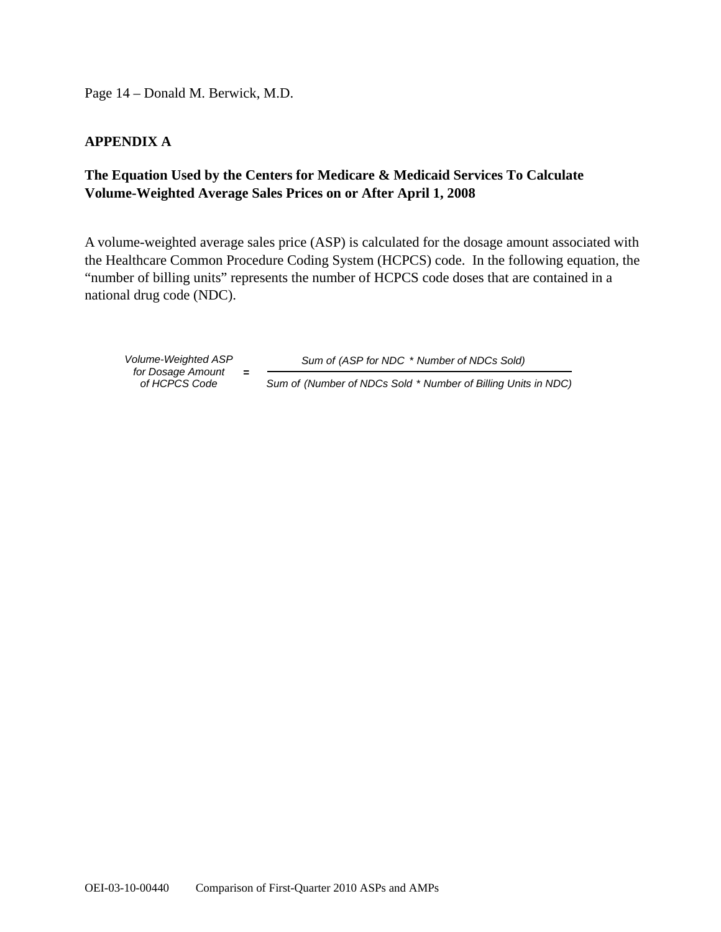Page 14 – Donald M. Berwick, M.D.

## **APPENDIX A**

# **The Equation Used by the Centers for Medicare & Medicaid Services To Calculate Volume-Weighted Average Sales Prices on or After April 1, 2008**

A volume-weighted average sales price (ASP) is calculated for the dosage amount associated with the Healthcare Common Procedure Coding System (HCPCS) code. In the following equation, the "number of billing units" represents the number of HCPCS code doses that are contained in a national drug code (NDC).

*of HCPCS Co de for Dosage Amount* **=** 

*Volume-Weighted ASP Sum of (ASP for NDC* \* *Number of NDCs Sold)*

*Sum of (Number of NDCs Sold* \* *Number of Billing Units in NDC)*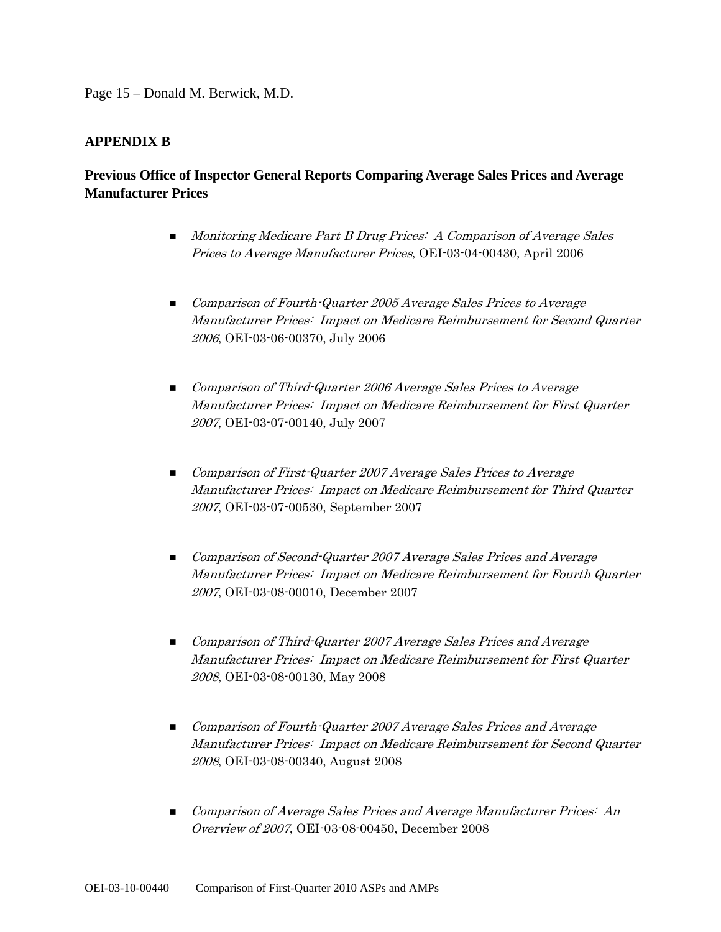Page 15 – Donald M. Berwick, M.D.

### **APPENDIX B**

# **Previous Office of Inspector General Reports Comparing Average Sales Prices and Average Manufacturer Prices**

- **Monitoring Medicare Part B Drug Prices: A Comparison of Average Sales** Prices to Average Manufacturer Prices, OEI-03-04-00430, April 2006
- Comparison of Fourth-Quarter 2005 Average Sales Prices to Average Manufacturer Prices: Impact on Medicare Reimbursement for Second Quarter 2006, OEI-03-06-00370, July 2006
- Comparison of Third-Quarter 2006 Average Sales Prices to Average Manufacturer Prices: Impact on Medicare Reimbursement for First Quarter 2007, OEI-03-07-00140, July 2007
- **Comparison of First-Quarter 2007 Average Sales Prices to Average** Manufacturer Prices: Impact on Medicare Reimbursement for Third Quarter 2007, OEI-03-07-00530, September 2007
- Comparison of Second-Quarter 2007 Average Sales Prices and Average Manufacturer Prices: Impact on Medicare Reimbursement for Fourth Quarter 2007, OEI-03-08-00010, December 2007
- **Demonstrate Comparison of Third-Quarter 2007 Average Sales Prices and Average** Manufacturer Prices: Impact on Medicare Reimbursement for First Quarter 2008, OEI-03-08-00130, May 2008
- **Comparison of Fourth-Quarter 2007 Average Sales Prices and Average** Manufacturer Prices: Impact on Medicare Reimbursement for Second Quarter 2008, OEI-03-08-00340, August 2008
- **Comparison of Average Sales Prices and Average Manufacturer Prices: An** Overview of 2007, OEI-03-08-00450, December 2008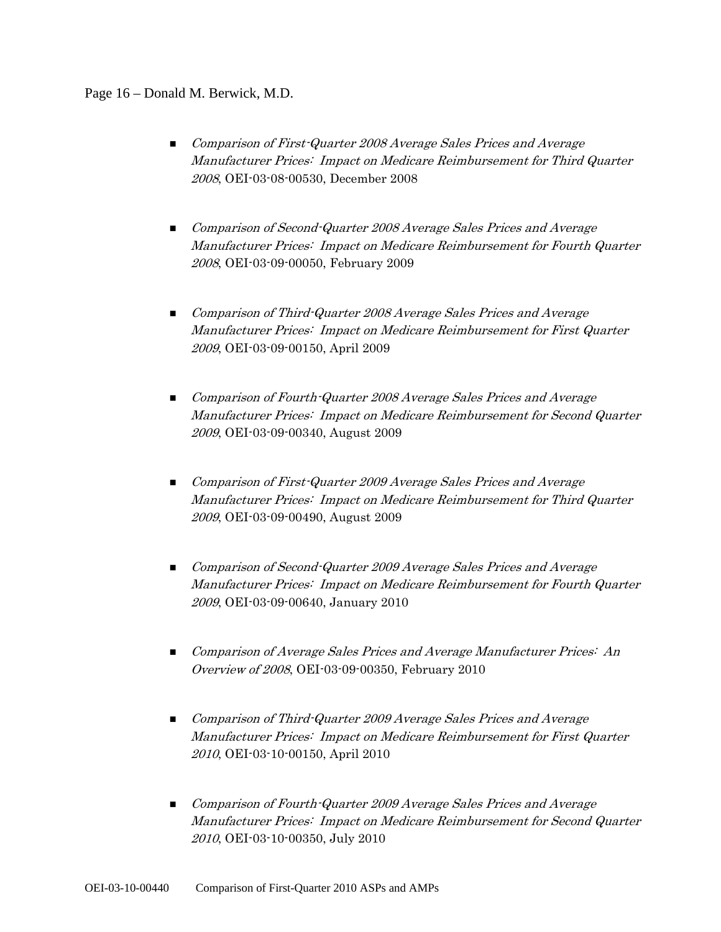### Page 16 – Donald M. Berwick, M.D.

- **Comparison of First-Quarter 2008 Average Sales Prices and Average** Manufacturer Prices: Impact on Medicare Reimbursement for Third Quarter 2008, OEI-03-08-00530, December 2008
- **Comparison of Second-Quarter 2008 Average Sales Prices and Average** Manufacturer Prices: Impact on Medicare Reimbursement for Fourth Quarter 2008, OEI-03-09-00050, February 2009
- Comparison of Third-Quarter 2008 Average Sales Prices and Average Manufacturer Prices: Impact on Medicare Reimbursement for First Quarter 2009, OEI-03-09-00150, April 2009
- **Comparison of Fourth-Quarter 2008 Average Sales Prices and Average** Manufacturer Prices: Impact on Medicare Reimbursement for Second Quarter 2009, OEI-03-09-00340, August 2009
- Comparison of First-Quarter 2009 Average Sales Prices and Average Manufacturer Prices: Impact on Medicare Reimbursement for Third Quarter 2009, OEI-03-09-00490, August 2009
- Comparison of Second-Quarter 2009 Average Sales Prices and Average Manufacturer Prices: Impact on Medicare Reimbursement for Fourth Quarter 2009, OEI-03-09-00640, January 2010
- **Comparison of Average Sales Prices and Average Manufacturer Prices: An** Overview of 2008, OEI-03-09-00350, February 2010
- Comparison of Third-Quarter 2009 Average Sales Prices and Average Manufacturer Prices: Impact on Medicare Reimbursement for First Quarter 2010, OEI-03-10-00150, April 2010
- **Demonstrace Occional Constraint Constraints** Comparison of Fourth-Quarter 2009 Average Sales Prices and Average Manufacturer Prices: Impact on Medicare Reimbursement for Second Quarter 2010, OEI-03-10-00350, July 2010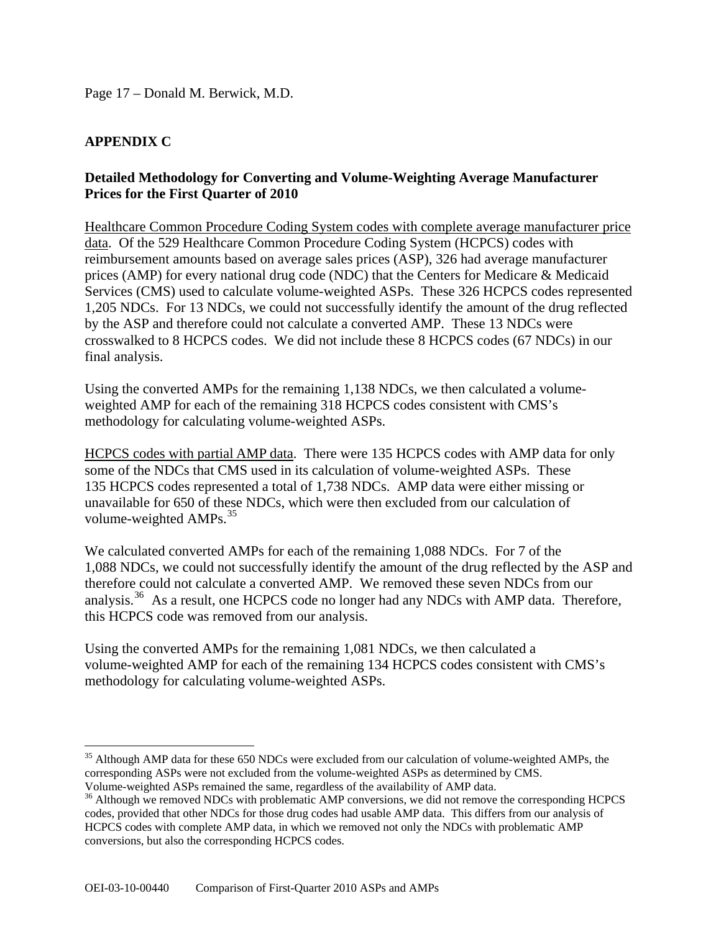Page 17 – Donald M. Berwick, M.D.

# **APPENDIX C**

 $\overline{a}$ 

# **Detailed Methodology for Converting and Volume-Weighting Average Manufacturer Prices for the First Quarter of 2010**

Healthcare Common Procedure Coding System codes with complete average manufacturer price data. Of the 529 Healthcare Common Procedure Coding System (HCPCS) codes with reimbursement amounts based on average sales prices (ASP), 326 had average manufacturer prices (AMP) for every national drug code (NDC) that the Centers for Medicare & Medicaid Services (CMS) used to calculate volume-weighted ASPs. These 326 HCPCS codes represented 1,205 NDCs. For 13 NDCs, we could not successfully identify the amount of the drug reflected by the ASP and therefore could not calculate a converted AMP. These 13 NDCs were crosswalked to 8 HCPCS codes. We did not include these 8 HCPCS codes (67 NDCs) in our final analysis.

Using the converted AMPs for the remaining 1,138 NDCs, we then calculated a volumeweighted AMP for each of the remaining 318 HCPCS codes consistent with CMS's methodology for calculating volume-weighted ASPs.

HCPCS codes with partial AMP data. There were 135 HCPCS codes with AMP data for only some of the NDCs that CMS used in its calculation of volume-weighted ASPs. These 135 HCPCS codes represented a total of 1,738 NDCs. AMP data were either missing or unavailable for 650 of these NDCs, which were then excluded from our calculation of volume-weighted AMPs.<sup>[35](#page-16-0)</sup>

We calculated converted AMPs for each of the remaining 1,088 NDCs. For 7 of the 1,088 NDCs, we could not successfully identify the amount of the drug reflected by the ASP and therefore could not calculate a converted AMP. We removed these seven NDCs from our analysis.<sup>[36](#page-16-1)</sup> As a result, one HCPCS code no longer had any NDCs with AMP data. Therefore, this HCPCS code was removed from our analysis.

Using the converted AMPs for the remaining 1,081 NDCs, we then calculated a volume-weighted AMP for each of the remaining 134 HCPCS codes consistent with CMS's methodology for calculating volume-weighted ASPs.

<span id="page-16-0"></span><sup>&</sup>lt;sup>35</sup> Although AMP data for these 650 NDCs were excluded from our calculation of volume-weighted AMPs, the corresponding ASPs were not excluded from the volume-weighted ASPs as determined by CMS. Volume-weighted ASPs remained the same, regardless of the availability of AMP data.

<span id="page-16-1"></span><sup>&</sup>lt;sup>36</sup> Although we removed NDCs with problematic AMP conversions, we did not remove the corresponding HCPCS codes, provided that other NDCs for those drug codes had usable AMP data. This differs from our analysis of HCPCS codes with complete AMP data, in which we removed not only the NDCs with problematic AMP conversions, but also the corresponding HCPCS codes.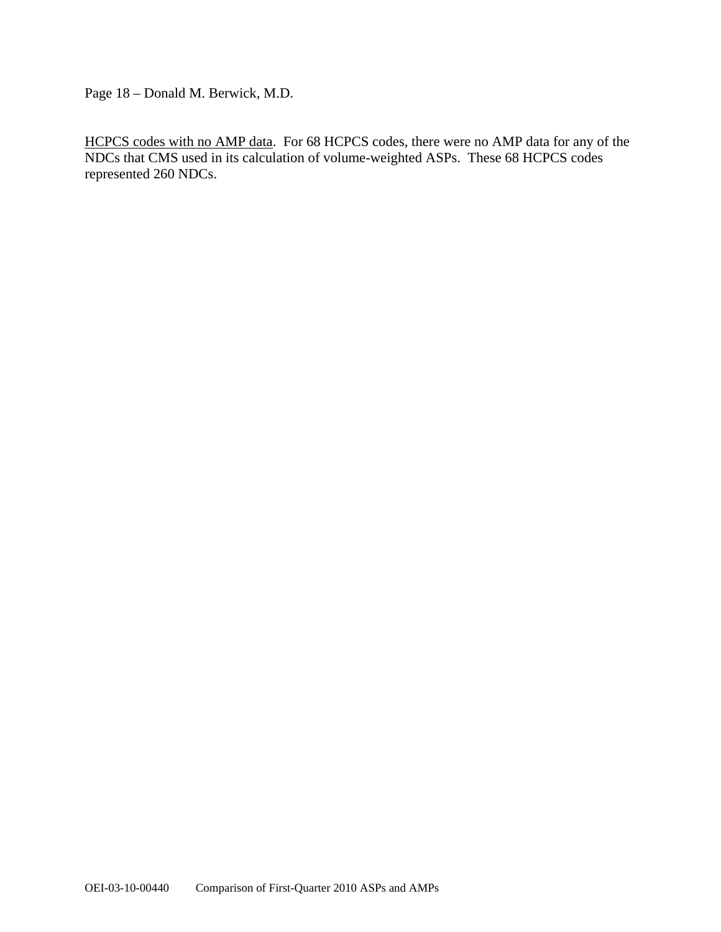Page 18 – Donald M. Berwick, M.D.

HCPCS codes with no AMP data. For 68 HCPCS codes, there were no AMP data for any of the NDCs that CMS used in its calculation of volume-weighted ASPs. These 68 HCPCS codes represented 260 NDCs.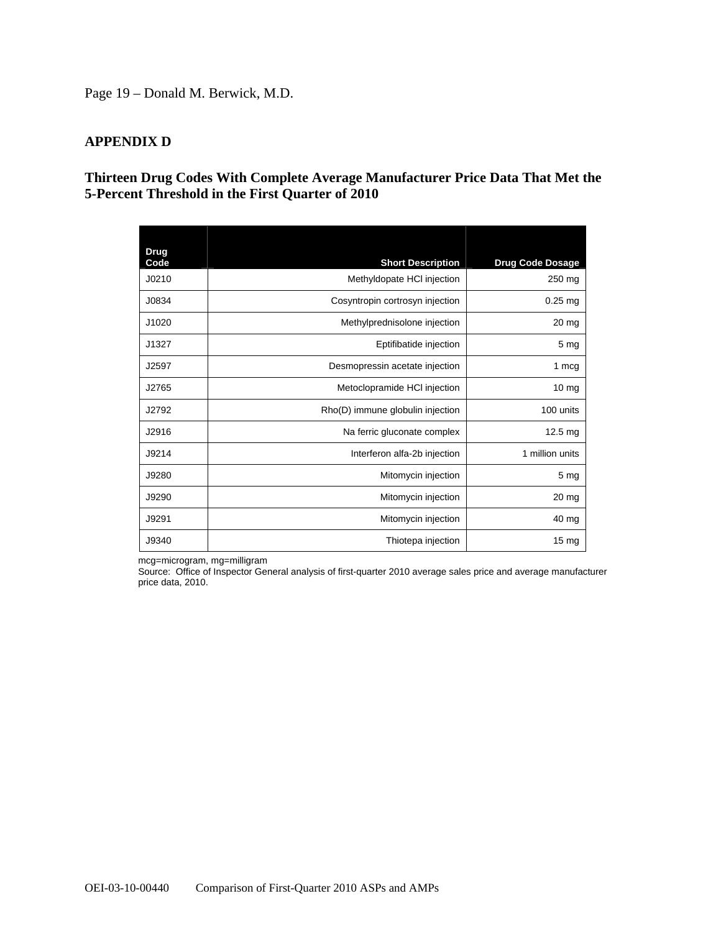Page 19 – Donald M. Berwick, M.D.

## **APPENDIX D**

# **Thirteen Drug Codes With Complete Average Manufacturer Price Data That Met the 5-Percent Threshold in the First Quarter of 2010**

| Drug<br>Code | <b>Short Description</b>         | <b>Drug Code Dosage</b> |
|--------------|----------------------------------|-------------------------|
| J0210        | Methyldopate HCI injection       | 250 mg                  |
| J0834        | Cosyntropin cortrosyn injection  | $0.25$ mg               |
| J1020        | Methylprednisolone injection     | $20 \, mg$              |
| J1327        | Eptifibatide injection           | 5 <sub>mg</sub>         |
| J2597        | Desmopressin acetate injection   | 1 mcg                   |
| J2765        | Metoclopramide HCI injection     | 10 mg                   |
| J2792        | Rho(D) immune globulin injection | 100 units               |
| J2916        | Na ferric gluconate complex      | $12.5 \text{ mg}$       |
| J9214        | Interferon alfa-2b injection     | 1 million units         |
| J9280        | Mitomycin injection              | 5 <sub>mg</sub>         |
| J9290        | Mitomycin injection              | 20 mg                   |
| J9291        | Mitomycin injection              | 40 mg                   |
| J9340        | Thiotepa injection               | $15 \text{ mg}$         |

mcg=microgram, mg=milligram

Source: Office of Inspector General analysis of first-quarter 2010 average sales price and average manufacturer price data, 2010.